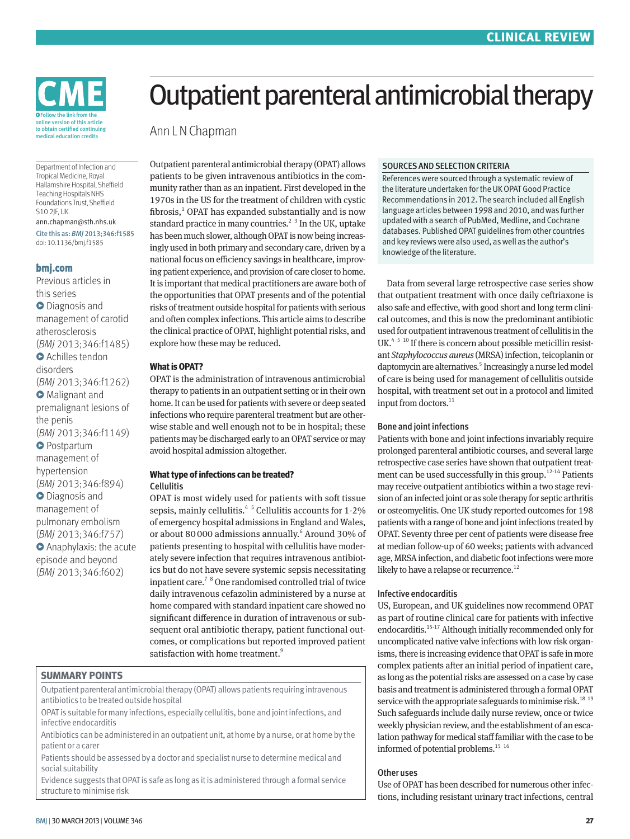

Department of Infection and Tropical Medicine, Royal Hallamshire Hospital, Sheffield Teaching Hospitals NHS Foundations Trust, Sheffield S10 2JF, UK ann.chapman@sth.nhs.uk Cite this as: *BMJ* 2013;346:f1585 doi: 10.1136/bmj.f1585

**bmj.com** 

Previous articles in this series  $\bullet$  Diagnosis and management of carotid atherosclerosis (*BMJ* 2013;346:f1485) **O** Achilles tendon disorders (*BMJ* 2013;346:f1262) **O** Malignant and premalignant lesions of the penis (*BMJ* 2013;346:f1149) **O** Postpartum management of hypertension (*BMJ* 2013;346:f894)  $\bullet$  Diagnosis and management of pulmonary embolism (*BMJ* 2013;346:f757) **•** Anaphylaxis: the acute episode and beyond (*BMJ* 2013;346:f602)

# Outpatient parenteral antimicrobial therapy

Ann L N Chapman

Outpatient parenteral antimicrobial therapy (OPAT) allows patients to be given intravenous antibiotics in the community rather than as an inpatient. First developed in the 1970s in the US for the treatment of children with cystic  $fibrosis, 1$  OPAT has expanded substantially and is now standard practice in many countries.<sup>2</sup> <sup>3</sup> In the UK, uptake has been much slower, although OPAT is now being increasingly used in both primary and secondary care, driven by a national focus on efficiency savings in healthcare, improving patient experience, and provision of care closer to home. It is important that medical practitioners are aware both of the opportunities that OPAT presents and of the potential risks of treatment outside hospital for patients with serious and often complex infections. This article aims to describe the clinical practice of OPAT, highlight potential risks, and explore how these may be reduced.

#### **What is OPAT?**

OPAT is the administration of intravenous antimicrobial therapy to patients in an outpatient setting or in their own home. It can be used for patients with severe or deep seated infections who require parenteral treatment but are otherwise stable and well enough not to be in hospital; these patients may be discharged early to an OPAT service or may avoid hospital admission altogether.

#### **What type of infections can be treated? Cellulitis**

OPAT is most widely used for patients with soft tissue sepsis, mainly cellulitis.<sup>45</sup> Cellulitis accounts for 1-2% of emergency hospital admissions in England and Wales, or about 80 000 admissions annually.<sup>6</sup> Around 30% of patients presenting to hospital with cellulitis have moderately severe infection that requires intravenous antibiotics but do not have severe systemic sepsis necessitating inpatient care.<sup>7</sup> <sup>8</sup> One randomised controlled trial of twice daily intravenous cefazolin administered by a nurse at home compared with standard inpatient care showed no significant difference in duration of intravenous or subsequent oral antibiotic therapy, patient functional outcomes, or complications but reported improved patient satisfaction with home treatment.<sup>9</sup>

#### **SUMMARY POINTS**

Outpatient parenteral antimicrobial therapy (OPAT) allows patients requiring intravenous antibiotics to be treated outside hospital

OPAT is suitable for many infections, especially cellulitis, bone and joint infections, and infective endocarditis

Antibiotics can be administered in an outpatient unit, at home by a nurse, or at home by the patient or a carer

Patients should be assessed by a doctor and specialist nurse to determine medical and social suitability

Evidence suggests that OPAT is safe as long as it is administered through a formal service structure to minimise risk

#### SOURCES AND SELECTION CRITERIA

References were sourced through a systematic review of the literature undertaken for the UK OPAT Good Practice Recommendations in 2012. The search included all English language articles between 1998 and 2010, and was further updated with a search of PubMed, Medline, and Cochrane databases. Published OPAT guidelines from other countries and key reviews were also used, as well as the author's knowledge of the literature.

Data from several large retrospective case series show that outpatient treatment with once daily ceftriaxone is also safe and effective, with good short and long term clinical outcomes, and this is now the predominant antibiotic used for outpatient intravenous treatment of cellulitis in the UK. $4510$  If there is concern about possible meticillin resistant *Staphylococcus aureus* (MRSA) infection, teicoplanin or daptomycin are alternatives.<sup>5</sup> Increasingly a nurse led model of care is being used for management of cellulitis outside hospital, with treatment set out in a protocol and limited input from doctors.<sup>11</sup>

#### Bone and joint infections

Patients with bone and joint infections invariably require prolonged parenteral antibiotic courses, and several large retrospective case series have shown that outpatient treatment can be used successfully in this group.<sup>12-14</sup> Patients may receive outpatient antibiotics within a two stage revision of an infected joint or as sole therapy for septic arthritis or osteomyelitis. One UK study reported outcomes for 198 patients with a range of bone and joint infections treated by OPAT. Seventy three per cent of patients were disease free at median follow-up of 60 weeks; patients with advanced age, MRSA infection, and diabetic foot infections were more likely to have a relapse or recurrence.<sup>12</sup>

#### Infective endocarditis

US, European, and UK guidelines now recommend OPAT as part of routine clinical care for patients with infective endocarditis.<sup>15-17</sup> Although initially recommended only for uncomplicated native valve infections with low risk organisms, there is increasing evidence that OPAT is safe in more complex patients after an initial period of inpatient care, as long as the potential risks are assessed on a case by case basis and treatment is administered through a formal OPAT service with the appropriate safeguards to minimise risk.<sup>18</sup> <sup>19</sup> Such safeguards include daily nurse review, once or twice weekly physician review, and the establishment of an escalation pathway for medical staff familiar with the case to be informed of potential problems.  $^{\rm 15}$   $^{\rm 16}$ 

#### Other uses

Use of OPAT has been described for numerous other infections, including resistant urinary tract infections, central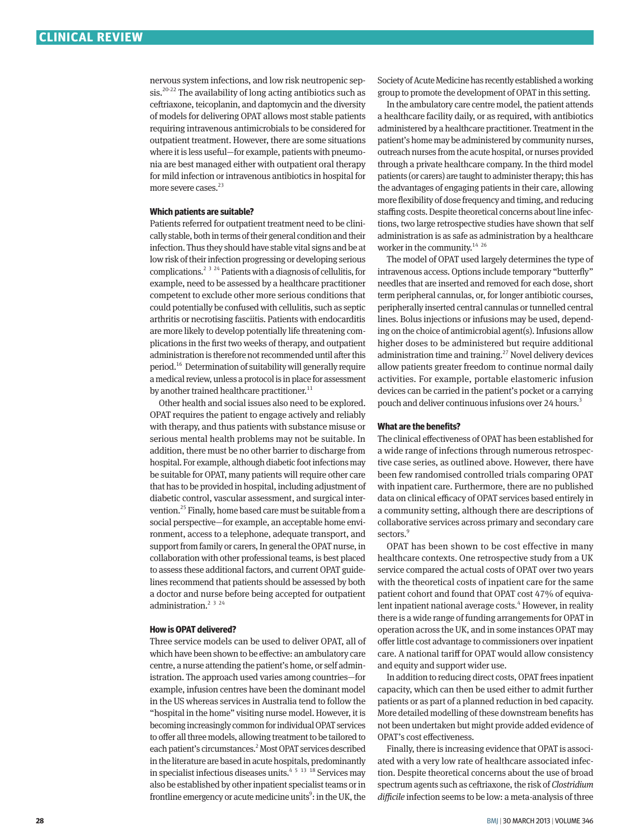nervous system infections, and low risk neutropenic sepsis.<sup>20-22</sup> The availability of long acting antibiotics such as ceftriaxone, teicoplanin, and daptomycin and the diversity of models for delivering OPAT allows most stable patients requiring intravenous antimicrobials to be considered for outpatient treatment. However, there are some situations where it is less useful—for example, patients with pneumonia are best managed either with outpatient oral therapy for mild infection or intravenous antibiotics in hospital for more severe cases.<sup>23</sup>

#### **Which patients are suitable?**

Patients referred for outpatient treatment need to be clinically stable, both in terms of their general condition and their infection. Thus they should have stable vital signs and be at low risk of their infection progressing or developing serious complications.2 <sup>3</sup> 24 Patients with a diagnosis of cellulitis, for example, need to be assessed by a healthcare practitioner competent to exclude other more serious conditions that could potentially be confused with cellulitis, such as septic arthritis or necrotising fasciitis. Patients with endocarditis are more likely to develop potentially life threatening complications in the first two weeks of therapy, and outpatient administration is therefore not recommended until after this period.16 Determination of suitability will generally require a medical review, unless a protocol is in place for assessment by another trained healthcare practitioner.<sup>11</sup>

Other health and social issues also need to be explored. OPAT requires the patient to engage actively and reliably with therapy, and thus patients with substance misuse or serious mental health problems may not be suitable. In addition, there must be no other barrier to discharge from hospital. For example, although diabetic foot infections may be suitable for OPAT, many patients will require other care that has to be provided in hospital, including adjustment of diabetic control, vascular assessment, and surgical inter‑ vention.<sup>25</sup> Finally, home based care must be suitable from a social perspective—for example, an acceptable home environment, access to a telephone, adequate transport, and support from family or carers, In general the OPAT nurse, in collaboration with other professional teams, is best placed to assess these additional factors, and current OPAT guidelines recommend that patients should be assessed by both a doctor and nurse before being accepted for outpatient administration.<sup>2</sup><sup>3</sup><sup>24</sup>

#### **How is OPAT delivered?**

Three service models can be used to deliver OPAT, all of which have been shown to be effective: an ambulatory care centre, a nurse attending the patient's home, or self administration. The approach used varies among countries—for example, infusion centres have been the dominant model in the US whereas services in Australia tend to follow the "hospital in the home" visiting nurse model. However, it is becoming increasingly common for individual OPAT services to offer all three models, allowing treatment to be tailored to each patient's circumstances.<sup>2</sup> Most OPAT services described in the literature are based in acute hospitals, predominantly in specialist infectious diseases units.<sup>4 5 13</sup> <sup>18</sup> Services may also be established by other inpatient specialist teams or in frontline emergency or acute medicine units<sup>9</sup>: in the UK, the Society of Acute Medicine has recently established a working group to promote the development of OPAT in this setting.

In the ambulatory care centre model, the patient attends a healthcare facility daily, or as required, with antibiotics administered by a healthcare practitioner. Treatment in the patient's home may be administered by community nurses, outreach nurses from the acute hospital, or nurses provided through a private healthcare company. In the third model patients (or carers) are taught to administer therapy; this has the advantages of engaging patients in their care, allowing more flexibility of dose frequency and timing, and reducing staffing costs. Despite theoretical concerns about line infections, two large retrospective studies have shown that self administration is as safe as administration by a healthcare worker in the community.  $^{\rm 14}$   $^{\rm 26}$ 

The model of OPAT used largely determines the type of intravenous access. Options include temporary "butterfly" needles that are inserted and removed for each dose, short term peripheral cannulas, or, for longer antibiotic courses, peripherally inserted central cannulas or tunnelled central lines. Bolus injections or infusions may be used, depending on the choice of antimicrobial agent(s). Infusions allow higher doses to be administered but require additional administration time and training.<sup>27</sup> Novel delivery devices allow patients greater freedom to continue normal daily activities. For example, portable elastomeric infusion devices can be carried in the patient's pocket or a carrying pouch and deliver continuous infusions over 24 hours.<sup>3</sup>

#### **What are the benefits?**

The clinical effectiveness of OPAT has been established for a wide range of infections through numerous retrospec‑ tive case series, as outlined above. However, there have been few randomised controlled trials comparing OPAT with inpatient care. Furthermore, there are no published data on clinical efficacy of OPAT services based entirely in a community setting, although there are descriptions of collaborative services across primary and secondary care sectors.<sup>9</sup>

OPAT has been shown to be cost effective in many healthcare contexts. One retrospective study from a UK service compared the actual costs of OPAT over two years with the theoretical costs of inpatient care for the same patient cohort and found that OPAT cost 47% of equivalent inpatient national average costs.<sup>4</sup> However, in reality there is a wide range of funding arrangements for OPAT in operation across the UK, and in some instances OPAT may offer little cost advantage to commissioners over inpatient care. A national tariff for OPAT would allow consistency and equity and support wider use.

In addition to reducing direct costs, OPAT frees inpatient capacity, which can then be used either to admit further patients or as part of a planned reduction in bed capacity. More detailed modelling of these downstream benefits has not been undertaken but might provide added evidence of OPAT's cost effectiveness.

Finally, there is increasing evidence that OPAT is associated with a very low rate of healthcare associated infection. Despite theoretical concerns about the use of broad spectrum agents such as ceftriaxone, the risk of *Clostridium difficile* infection seems to be low: a meta-analysis of three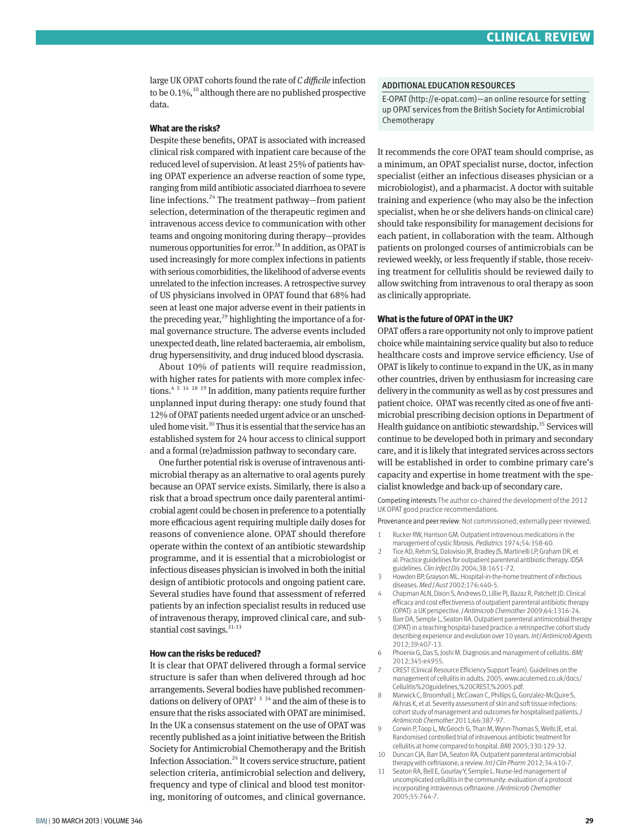large UK OPAT cohorts found the rate of *C difficile* infection to be  $0.1\%$ ,<sup>10</sup> although there are no published prospective data.

#### **What are the risks?**

Despite these benefits, OPAT is associated with increased clinical risk compared with inpatient care because of the reduced level of supervision. At least 25% of patients having OPAT experience an adverse reaction of some type, ranging from mild antibiotic associated diarrhoea to severe line infections.<sup>24</sup> The treatment pathway—from patient selection, determination of the therapeutic regimen and intravenous access device to communication with other teams and ongoing monitoring during therapy—provides numerous opportunities for error.<sup>28</sup> In addition, as OPAT is used increasingly for more complex infections in patients with serious comorbidities, the likelihood of adverse events unrelated to the infection increases. A retrospective survey of US physicians involved in OPAT found that 68% had seen at least one major adverse event in their patients in the preceding year,<sup>29</sup> highlighting the importance of a formal governance structure. The adverse events included unexpected death, line related bacteraemia, air embolism, drug hypersensitivity, and drug induced blood dyscrasia.

About 10% of patients will require readmission, with higher rates for patients with more complex infections.<sup>4 5 14 18 19</sup> In addition, many patients require further unplanned input during therapy: one study found that 12% of OPAT patients needed urgent advice or an unscheduled home visit.<sup>30</sup> Thus it is essential that the service has an established system for 24 hour access to clinical support and a formal (re)admission pathway to secondary care.

One further potential risk is overuse of intravenous antimicrobial therapy as an alternative to oral agents purely because an OPAT service exists. Similarly, there is also a risk that a broad spectrum once daily parenteral antimicrobial agent could be chosen in preference to a potentially more efficacious agent requiring multiple daily doses for reasons of convenience alone. OPAT should therefore operate within the context of an antibiotic stewardship programme, and it is essential that a microbiologist or infectious diseases physician is involved in both the initial design of antibiotic protocols and ongoing patient care. Several studies have found that assessment of referred patients by an infection specialist results in reduced use of intravenous therapy, improved clinical care, and substantial cost savings. $31-33$ 

#### **How can the risks be reduced?**

It is clear that OPAT delivered through a formal service structure is safer than when delivered through ad hoc arrangements. Several bodies have published recommendations on delivery of OPAT<sup>2 3 34</sup> and the aim of these is to ensure that the risks associated with OPAT are minimised. In the UK a consensus statement on the use of OPAT was recently published as a joint initiative between the British Society for Antimicrobial Chemotherapy and the British Infection Association.24 It covers service structure, patient selection criteria, antimicrobial selection and delivery, frequency and type of clinical and blood test monitoring, monitoring of outcomes, and clinical governance.

#### ADDITIONAL EDUCATION RESOURCES

E-OPAT (http://e-opat.com)—an online resource for setting up OPAT services from the British Society for Antimicrobial Chemotherapy

It recommends the core OPAT team should comprise, as a minimum, an OPAT specialist nurse, doctor, infection specialist (either an infectious diseases physician or a microbiologist), and a pharmacist. A doctor with suitable training and experience (who may also be the infection specialist, when he or she delivers hands-on clinical care) should take responsibility for management decisions for each patient, in collaboration with the team. Although patients on prolonged courses of antimicrobials can be reviewed weekly, or less frequently if stable, those receiving treatment for cellulitis should be reviewed daily to allow switching from intravenous to oral therapy as soon as clinically appropriate.

#### **What is the future of OPAT in the UK?**

OPAT offers a rare opportunity not only to improve patient choice while maintaining service quality but also to reduce healthcare costs and improve service efficiency. Use of OPAT is likely to continue to expand in the UK, as in many other countries, driven by enthusiasm for increasing care delivery in the community as well as by cost pressures and patient choice. OPAT was recently cited as one of five antimicrobial prescribing decision options in Department of Health guidance on antibiotic stewardship.<sup>35</sup> Services will continue to be developed both in primary and secondary care, and it is likely that integrated services across sectors will be established in order to combine primary care's capacity and expertise in home treatment with the specialist knowledge and back-up of secondary care.

Competing interests:The author co-chaired the development of the 2012 UK OPAT good practice recommendations.

Provenance and peer review: Not commissioned; externally peer reviewed.

- 1 Rucker RW, Harrison GM. Outpatient intravenous medications in the management of cystic fibrosis. *Pediatrics* 1974;54:358-60.
- 2 Tice AD, Rehm SJ, Dalovisio JR, Bradley JS, Martinelli LP, Graham DR, et al. Practice guidelines for outpatient parenteral antibiotic therapy. IDSA guidelines. *Clin Infect Dis* 2004;38:1651-72.
- 3 Howden BP, Grayson ML. Hospital-in-the-home treatment of infectious diseases. *Med J Aust* 2002;176:440-5.
- 4 Chapman ALN, Dixon S, Andrews D, Lillie PJ, Bazaz R, Patchett JD. Clinical efficacy and cost effectiveness of outpatient parenteral antibiotic therapy (OPAT): a UK perspective. *J Antimicrob Chemother* 2009;64:1316-24.
- 5 Barr DA, Semple L, Seaton RA. Outpatient parenteral antimicrobial therapy (OPAT) in a teaching hospital-based practice: a retrospective cohort study describing experience and evolution over 10 years. *Int J Antimicrob Agents* 2012;39:407-13.
- 6 Phoenix G, Das S, Joshi M. Diagnosis and management of cellulitis. *BMJ* 2012;345:e4955.
- 7 CREST (Clinical Resource Efficiency Support Team). Guidelines on the management of cellulitis in adults. 2005. www.acutemed.co.uk/docs/ Cellulitis%20guidelines,%20CREST,%2005.pdf.
- 8 Marwick C, Broomhall J, McCowan C, Phillips G, Gonzalez-McQuire S, Akhras K, et al. Severity assessment of skin and soft tissue infections: cohort study of management and outcomes for hospitalised patients. *J Antimicrob Chemother* 2011;66:387-97.
- 9 Corwin P, Toop L, McGeoch G, Than M, Wynn-Thomas S, Wells JE, et al. Randomised controlled trial of intravenous antibiotic treatment for cellulitis at home compared to hospital. *BMJ* 2005;330:129-32.
- 10 Duncan CJA, Barr DA, Seaton RA. Outpatient parenteral antimicrobial therapy with ceftriaxone, a review. *Int J Clin Pharm* 2012;34:410-7.
- 11 Seaton RA, Bell E, Gourlay Y, Semple L. Nurse-led management of uncomplicated cellulitis in the community: evaluation of a protocol incorporating intravenous ceftriaxone. *J Antimicrob Chemother* 2005;55:764-7.